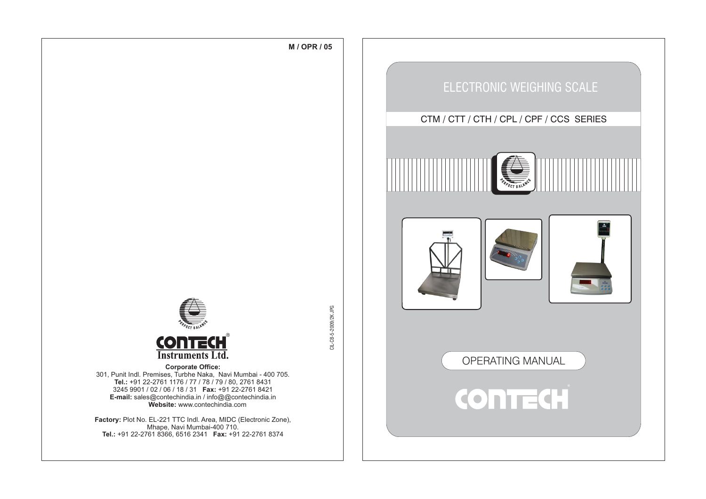





301, Punit Indl. Premises, Turbhe Naka, Navi Mumbai - 400 705. **Tel.:** +91 22-2761 1176 / 77 / 78 / 79 / 80, 2761 8431 3245 9901 / 02 / 06 / 18 / 31 **Fax:** +91 22-2761 8421 **E-mail:** sales@contechindia.in / info@@contechindia.in **Website:** www.contechindia.com

**Factory:** Plot No. EL-221 TTC Indl. Area, MIDC (Electronic Zone), Mhape, Navi Mumbai-400 710. **Tel.:** +91 22-2761 8366, 6516 2341 **Fax:** +91 22-2761 8374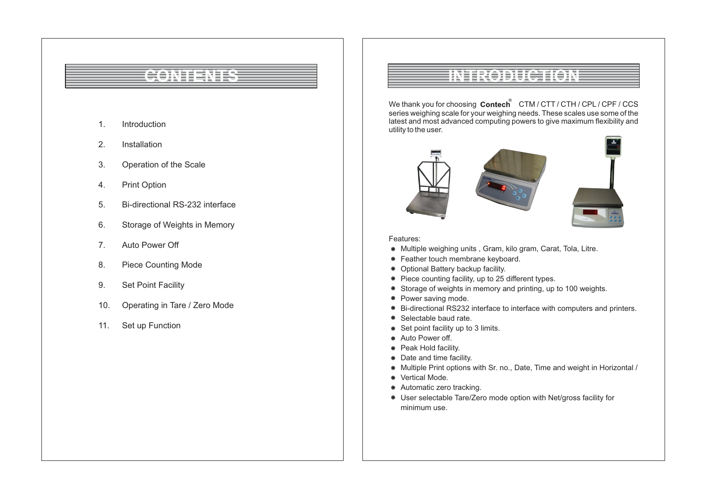# **CONTENTS**

- 1. Introduction
- 2. Installation
- 3. Operation of the Scale
- 4. Print Option
- 5. Bi-directional RS-232 interface
- 6. Storage of Weights in Memory
- 7. Auto Power Off
- 8. Piece Counting Mode
- 9. Set Point Facility
- 10. Operating in Tare / Zero Mode
- 11. Set up Function

# **INTRODUCTION**

We thank you for choosing Contech<sup>®</sup> CTM / CTT / CTH / CPL / CPF / CCS series weighing scale for your weighing needs. These scales use some of the latest and most advanced computing powers to give maximum flexibility and utility to the user.







## Features:

- Multiple weighing units , Gram, kilo gram, Carat, Tola, Litre.
- Feather touch membrane keyboard.
- Optional Battery backup facility.
- Piece counting facility, up to 25 different types.
- Storage of weights in memory and printing, up to 100 weights.
- Power saving mode.
- Bi-directional RS232 interface to interface with computers and printers.
- $\bullet$ Selectable baud rate.
- Set point facility up to 3 limits.
- Auto Power off.
- Peak Hold facility.
- Date and time facility.
- Multiple Print options with Sr. no., Date, Time and weight in Horizontal /
- Vertical Mode.
- Automatic zero tracking.
- User selectable Tare/Zero mode option with Net/gross facility for minimum use.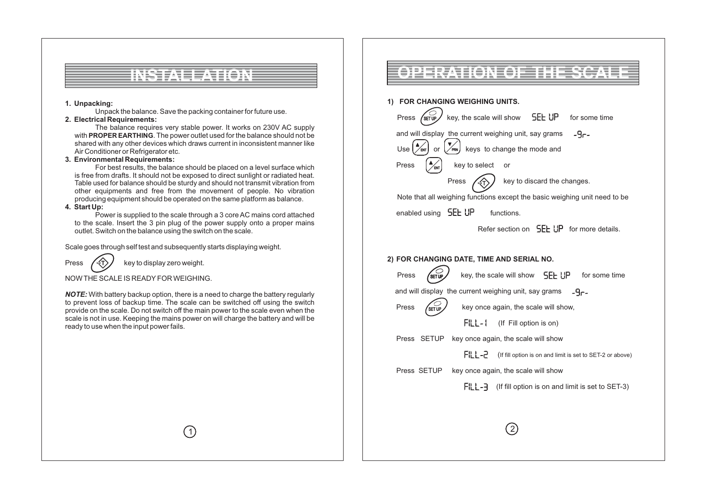

## **1. Unpacking:**

Unpack the balance. Save the packing container for future use.

## **2. Electrical Requirements:**

The balance requires very stable power. It works on 230V AC supply with **PROPER EARTHING**. The power outlet used for the balance should not be shared with any other devices which draws current in inconsistent manner like Air Conditioner or Refrigerator etc.

## **3. Environmental Requirements:**

For best results, the balance should be placed on a level surface which is free from drafts. It should not be exposed to direct sunlight or radiated heat. Table used for balance should be sturdy and should not transmit vibration from other equipments and free from the movement of people. No vibration producing equipment should be operated on the same platform as balance.

## **4. Start Up:**

Power is supplied to the scale through a 3 core AC mains cord attached to the scale. Insert the 3 pin plug of the power supply onto a proper mains outlet. Switch on the balance using the switch on the scale.

Scale goes through self test and subsequently starts displaying weight.

Press  $\left(\sqrt{2T}\right)$  key to display zero weight. T

## NOW THE SCALE IS READYFOR WEIGHING.

*NOTE:* With battery backup option, there is a need to charge the battery regularly to prevent loss of backup time. The scale can be switched off using the switch provide on the scale. Do not switch off the main power to the scale even when the scale is not in use. Keeping the mains power on will charge the battery and will be ready to use when the input power fails.

 $(1)$ 

# **OPERATION OF THE SCALE**

## **1) FOR CHANGING WEIGHING UNITS.**

| Press                                                 | key, the scale will show 5EL UP for some time                                |
|-------------------------------------------------------|------------------------------------------------------------------------------|
| and will display the current weighing unit, say grams | -46-                                                                         |
| Use l                                                 | or $\left(\frac{1}{\sqrt{P_{\text{NN}}}}\right)$ keys to change the mode and |
| key to select<br>Press                                | or                                                                           |
| Press                                                 | key to discard the changes.                                                  |
|                                                       | Note that all weighing functions except the basic weighing unit need to be   |
| enabled using 5EL UP                                  | functions.                                                                   |
|                                                       | Refer section on <b>SEE UP</b> for more details.                             |
|                                                       |                                                                              |

## **2) FOR CHANGING DATE, TIME AND SERIAL NO.**

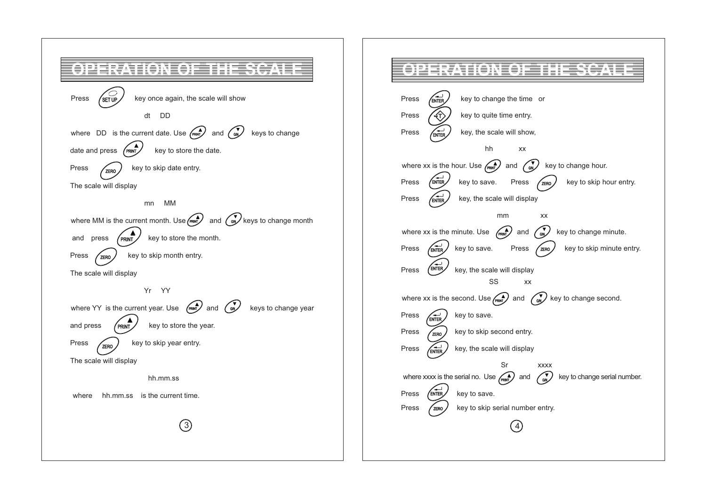

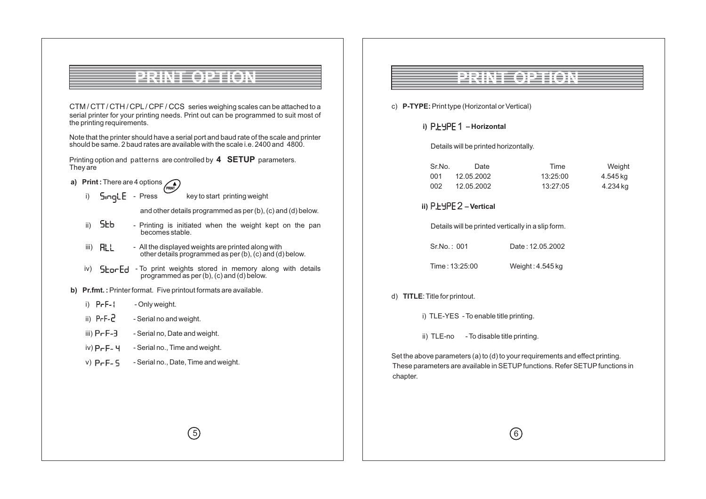

CTM / CTT/ CTH / CPL/ CPF / CCS series weighing scales can be attached to a serial printer for your printing needs. Print out can be programmed to suit most of the printing requirements.

Note that the printer should have a serial port and baud rate of the scale and printer should be same. 2 baud rates are available with the scale i.e. 2400 and 4800.

Printing option and patterns are controlled by **4 SETUP** parameters. They are

**a)** Print: There are 4 options **PRINT** 

i)  $5 \cdot 2$  Press key to start printing weight

and other details programmed as per (b), (c) and (d) below.

- ii)  $5$ kb Printing is initiated when the weight kept on the pan becomes stable.
- iii)  $\left[\begin{array}{cc} \mathbf{H} \end{array}\right]$  All the displayed weights are printed along with other details programmed as per (b), (c) and (d) below.

5

- iv) 5 **For Ed** To print weights stored in memory along with details programmed as per (b), (c) and (d) below.
- **b) Pr.fmt. :**Printer format. Five printout formats are available.
	- i)  $PrF 1$  Only weight.
	- ii)  $PrF Z$  Serial no and weight.
	- iii)  $P F 3$  Serial no, Date and weight.
	- iv)  $P<sub>r</sub>F<sub>r</sub>Y Serial no.$  Time and weight.
	- v)  $P F G$  Serial no., Date, Time and weight.

# **PRINT OPTION**

- c) **P-TYPE:** Print type (Horizontal or Vertical)
	- i) P.<mark>는</mark>님PE 1 Horizontal

Details will be printed horizontally.

| Sr.No. | Date       | Time     | Weight   |
|--------|------------|----------|----------|
| 001.   | 12.05.2002 | 13:25:00 | 4.545 kg |
| 002.   | 12.05.2002 | 13:27:05 | 4.234 ka |

ii) P.<u>LYPE 2 – Vertical</u>

Details will be printed vertically in a slip form.

Sr.No. : 001 Date : 12.05.2002

Time : 13:25:00 Weight : 4.545 kg

### d) **TITLE**: Title for printout.

i) TLE-YES - To enable title printing.

ii) TLE-no - To disable title printing.

Set the above parameters (a) to (d) to your requirements and effect printing. These parameters are available in SETUPfunctions. Refer SETUPfunctions in chapter.

6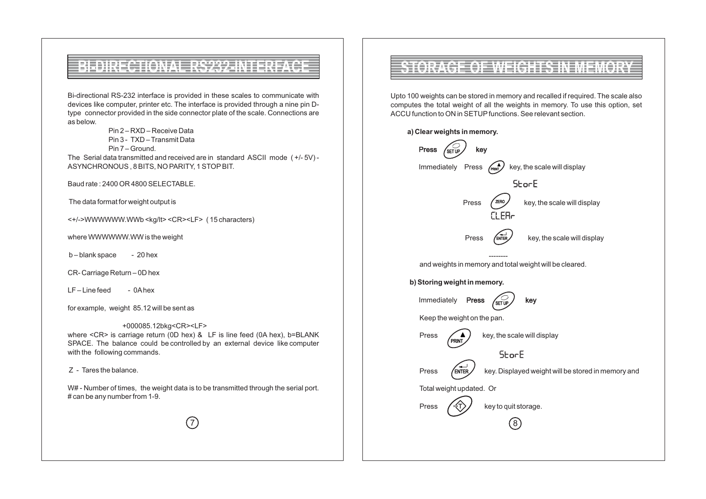# **BI-DIRECTIONAL RS232-INTERFACE**

Bi-directional RS-232 interface is provided in these scales to communicate with devices like computer, printer etc. The interface is provided through a nine pin Dtype connector provided in the side connector plate of the scale. Connections are as below.

Pin 2 – RXD – Receive Data

Pin 3 - TXD – Transmit Data

Pin 7 – Ground.

The Serial data transmitted and received are in standard ASCII mode ( +/- 5V) - ASYNCHRONOUS , 8 BITS, NO PARITY, 1 STOPBIT.

Baud rate : 2400 OR 4800 SELECTABLE.

The data format for weight output is

<+/->WWWWWW.WWb <kg/lt> <CR><LF> ( 15 characters)

where WWWWWW.WW is the weight

 $b - blank space$  - 20 hex

CR- Carriage Return – 0D hex

LF-Line feed - 0Ahex

for example, weight 85.12 will be sent as

 +000085.12bkg<CR><LF> where <CR> is carriage return (0D hex) & LF is line feed (0A hex), b=BLANK SPACE. The balance could be controlled by an external device like computer with the following commands.

Z - Tares the balance.

W# - Number of times, the weight data is to be transmitted through the serial port. # can be any number from 1-9.

7

## **WEIGHTS IN**

Upto 100 weights can be stored in memory and recalled if required. The scale also computes the total weight of all the weights in memory. To use this option, set ACCU function to ON in SETUP functions. See relevant section.

## **a) Clear weights in memory.** Press <sub>/sɛTuɐ</sub>ノ key  $\binom{A}{PRRNT}$ Immediately Press  $\left(\mathbb{R}^{\blacktriangle}\right)$  key, the scale will display **StorE** Press  $\left(\frac{\pi}{R}R^{\alpha}\right)$  key, the scale will display ZERO CLER- $Press$   $\overline{\text{EMER}}$  key, the scale will display ENTER ------- and weights in memory and total weight will be cleared. **b) Storing weight in memory.** Immediately **Press**  $\left(\begin{matrix} 1 \\ 1 \end{matrix}\right)$  key SET UP Keep the weight on the pan. Press  $\left(\sqrt{a}\right)$  key, the scale will display PRINT **StorE** ENTER  $Press$   $\sqrt{en\text{tr}}$  key. Displayed weight will be stored in memory and Total weight updated. Or Press  $\left(\sqrt{4T}\right)$  key to quit storage. T8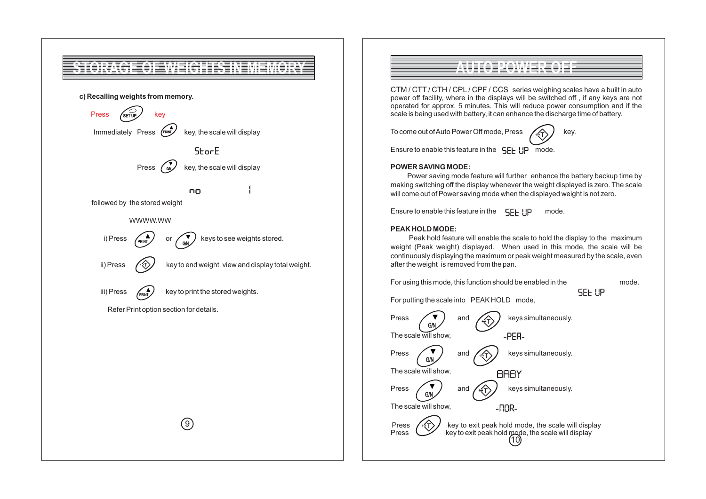

# **AUTO POWER OFF**

CTM / CTT / CTH / CPL / CPF / CCS series weighing scales have a built in auto power off facility, where in the displays will be switched off , if any keys are not operated for approx. 5 minutes. This will reduce power consumption and if the scale is being used with battery, it can enhance the discharge time of battery.

To come out of Auto Power Off mode, Press  $\Box$  A



Ensure to enable this feature in the  $\mathsf{E}\mathsf{F}\mathsf{F}$  |  $\mathsf{P}$  mode.

## **POWER SAVING MODE:**

Power saving mode feature will further enhance the battery backup time by making switching off the display whenever the weight displayed is zero. The scale will come out of Power saving mode when the displayed weight is not zero.

Ensure to enable this feature in the  $\mathsf{E}\mathsf{F}\vdash \mathsf{H}$  mode.

## **PEAK HOLD MODE:**

Peak hold feature will enable the scale to hold the display to the maximum weight (Peak weight) displayed. When used in this mode, the scale will be continuously displaying the maximum or peak weight measured by the scale, even after the weight is removed from the pan.

For using this mode, this function should be enabled in the mode.

SEE UP

For putting the scale into PEAK HOLD mode,

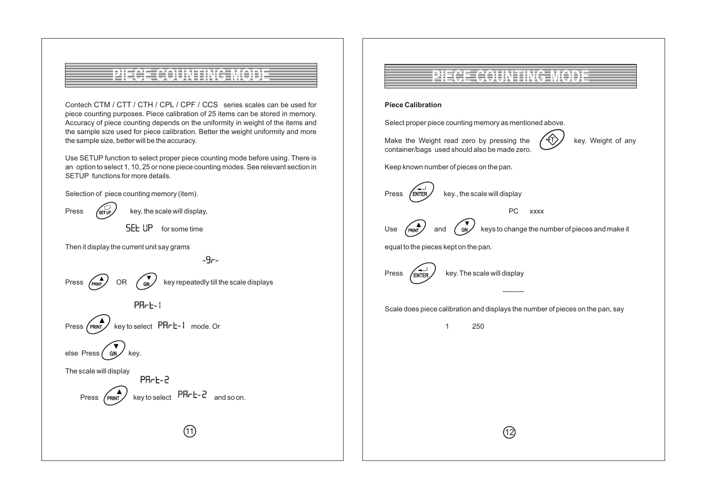# **PRINCE AND LEASE CONTING MODEL**

Contech CTM / CTT / CTH / CPL / CPF / CCS series scales can be used for piece counting purposes. Piece calibration of 25 items can be stored in memory. Accuracy of piece counting depends on the uniformity in weight of the items and the sample size used for piece calibration. Better the weight uniformity and more the sample size, better will be the accuracy.

Use SETUP function to select proper piece counting mode before using. There is an option to select 1, 10, 25 or none piece counting modes. See relevant section in SETUP functions for more details.

 $-9e-$ 

Selection of piece counting memory (item).

 $\sqrt{\text{SET UP}}$ Press  $\sqrt{\text{srw}}$  key, the scale will display, **SEE UP** for some time Then it display the current unit say grams  $\widehat{\text{Cov}}$  key repeatedly till the scale displays Press  $\rho_{RINT}$  OR PR-E-L



else Press  $\frac{1}{2}$  GN  $\frac{1}{2}$  key.  $\angle$ <sub>G/N</sub>  $\angle$ 

The scale will display PR-E-2

Press (PRINT) key to select FILL FRING and so on.

11

**PIECE COUNTING MODE**

## **Piece Calibration**

Select proper piece counting memory as mentioned above.

Make the Weight read zero by pressing the  $\sqrt{\pi}$  key. Weight of any container/bags used should also be made zero.

 $\langle \uparrow \rangle$ 

Keep known number of pieces on the pan.

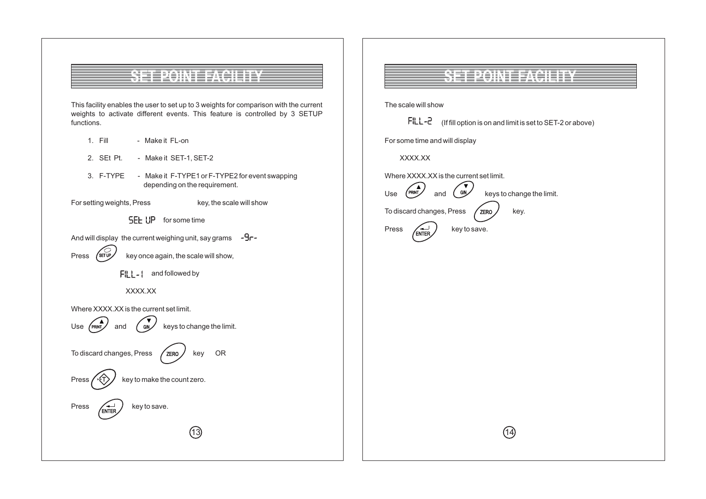

This facility enables the user to set up to 3 weights for comparison with the current weights to activate different events. This feature is controlled by 3 SETUP functions.

- 1. Fill Make it FL-on
- 2. SEt Pt. Make it SET-1, SET-2
- 3. F-TYPE Make it F-TYPE1 or F-TYPE2 for event swapping depending on the requirement.

 $(13)$ 

- 
- For setting weights, Press key, the scale will show
	- **SEE UP** for some time
- And will display the current weighing unit, say grams  $-9 -$



 $\lceil \cdot \rceil$  and followed by



Where XXXX.XX is the current set limit.







#### Press  $\left(\begin{array}{c} \overline{ } \\ \overline{ } \end{array}\right)$  key to save. ENTER

# **SET POINT FACILITY**

The scale will show

| $FILL - 2$ (If fill option is on and limit is set to SET-2 or above) |
|----------------------------------------------------------------------|
|                                                                      |

For some time and will display

XXXX.XX

Where XXXX.XX is the current set limit.

Use  $\left(\begin{array}{ccc} \n\text{PRINT} \\
\end{array}\right)$  and  $\left(\begin{array}{ccc} \n\text{GN} \\
\end{array}\right)$  keys to change the limit. To discard changes, Press  $\sqrt{z}$ ERO $\sqrt{z}$ key. Press  $\left(\begin{matrix} + & b \\ - & b \end{matrix}\right)$  key to save. and ZERO ENTER

 $(14)$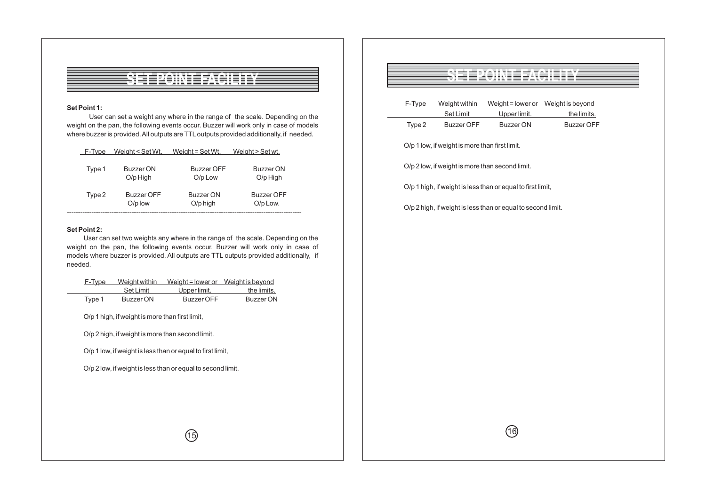

### **Set Point 1:**

User can set a weight any where in the range of the scale. Depending on the weight on the pan, the following events occur. Buzzer will work only in case of models where buzzer is provided. All outputs are TTL outputs provided additionally, if needed.

| F-Type | Weight < Set Wt.        | Weight = $Set Wt$ .          | Weight > Set wt.        |
|--------|-------------------------|------------------------------|-------------------------|
| Type 1 | Buzzer ON<br>$O/p$ High | <b>Buzzer OFF</b><br>O/p Low | Buzzer ON<br>$O/p$ High |
| Type 2 | Buzzer OFF<br>$O/p$ low | Buzzer ON<br>$O/p$ high      | Buzzer OFF<br>O/p Low.  |
|        |                         |                              |                         |

#### **Set Point 2:**

User can set two weights any where in the range of the scale. Depending on the weight on the pan, the following events occur. Buzzer will work only in case of models where buzzer is provided. All outputs are TTL outputs provided additionally, if needed.

| F-Type | Weight within<br>Set Limit                      | Weight = lower or<br>Upper limit.                           | Weight is beyond<br>the limits. |
|--------|-------------------------------------------------|-------------------------------------------------------------|---------------------------------|
| Type 1 | <b>Buzzer ON</b>                                | <b>Buzzer OFF</b>                                           | <b>Buzzer ON</b>                |
|        | O/p 1 high, if weight is more than first limit, |                                                             |                                 |
|        |                                                 | O/p 2 high, if weight is more than second limit.            |                                 |
|        |                                                 | O/p 1 low, if weight is less than or equal to first limit,  |                                 |
|        |                                                 | O/p 2 low, if weight is less than or equal to second limit. |                                 |
|        |                                                 |                                                             |                                 |
|        |                                                 |                                                             |                                 |
|        |                                                 |                                                             |                                 |
|        |                                                 |                                                             |                                 |

## **SET POINT FACILITY**

| F-Type | Weight within                                   | Weight = lower or Weight is beyond                           |                   |
|--------|-------------------------------------------------|--------------------------------------------------------------|-------------------|
|        | Set Limit                                       | Upper limit.                                                 | the limits.       |
| Type 2 | <b>Buzzer OFF</b>                               | <b>Buzzer ON</b>                                             | <b>Buzzer OFF</b> |
|        | O/p 1 low, if weight is more than first limit.  |                                                              |                   |
|        | O/p 2 low, if weight is more than second limit. |                                                              |                   |
|        |                                                 | O/p 1 high, if weight is less than or equal to first limit,  |                   |
|        |                                                 | O/p 2 high, if weight is less than or equal to second limit. |                   |
|        |                                                 |                                                              |                   |
|        |                                                 |                                                              |                   |
|        |                                                 |                                                              |                   |
|        |                                                 |                                                              |                   |
|        |                                                 |                                                              |                   |
|        |                                                 |                                                              |                   |
|        |                                                 |                                                              |                   |
|        |                                                 |                                                              |                   |
|        |                                                 |                                                              |                   |
|        |                                                 |                                                              |                   |
|        |                                                 |                                                              |                   |
|        |                                                 |                                                              |                   |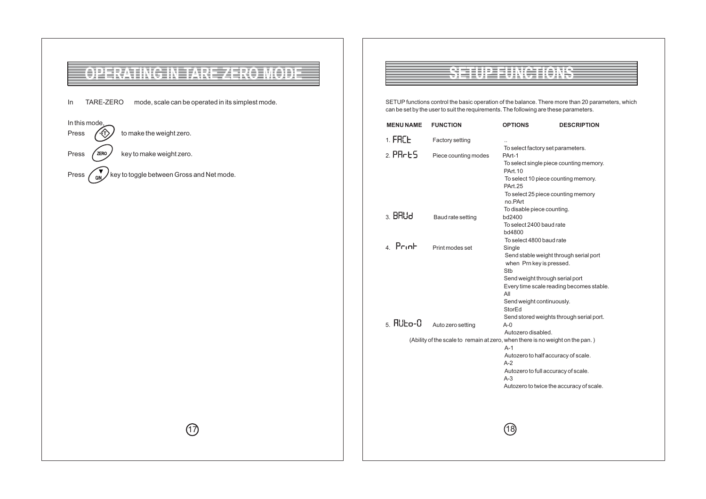

## **SETUP FUNCTIONS**

SETUP functions control the basic operation of the balance. There more than 20 parameters, which can be set by the user to suit the requirements. The following are these parameters.

| <b>MENU NAME</b>    | <b>FUNCTION</b>      | <b>OPTIONS</b>                                                                                      | <b>DESCRIPTION</b>                       |  |
|---------------------|----------------------|-----------------------------------------------------------------------------------------------------|------------------------------------------|--|
| 1. FRC <sub>E</sub> | Factory setting      |                                                                                                     |                                          |  |
| $2.$ PR $E$ 5       | Piece counting modes | To select factory set parameters.<br>PArt-1                                                         |                                          |  |
|                     |                      | PArt. 10                                                                                            | To select single piece counting memory.  |  |
|                     |                      | <b>PArt.25</b>                                                                                      | To select 10 piece counting memory.      |  |
|                     |                      | no.PArt                                                                                             | To select 25 piece counting memory       |  |
| $3.$ BRU $d$        |                      | To disable piece counting.                                                                          |                                          |  |
|                     | Baud rate setting    | bd2400<br>To select 2400 baud rate                                                                  |                                          |  |
|                     |                      | bd4800<br>To select 4800 baud rate                                                                  |                                          |  |
| $4$ Print           | Print modes set      | Single                                                                                              |                                          |  |
|                     |                      | Send stable weight through serial port<br>when Prn key is pressed.                                  |                                          |  |
|                     |                      | Stb<br>Send weight through serial port                                                              |                                          |  |
|                     |                      | All                                                                                                 | Every time scale reading becomes stable. |  |
|                     |                      | Send weight continuously.<br>StorEd                                                                 |                                          |  |
| $5$ $R$ Ubo- $0$    | Auto zero setting    | $A-0$                                                                                               | Send stored weights through serial port. |  |
|                     |                      | Autozero disabled.<br>(Ability of the scale to remain at zero, when there is no weight on the pan.) |                                          |  |
|                     |                      | $A-1$                                                                                               |                                          |  |
|                     |                      | $A-2$                                                                                               | Autozero to half accuracy of scale.      |  |
|                     |                      | A-3                                                                                                 | Autozero to full accuracy of scale.      |  |
|                     |                      |                                                                                                     | Autozero to twice the accuracy of scale. |  |
|                     |                      |                                                                                                     |                                          |  |
|                     |                      |                                                                                                     |                                          |  |
|                     |                      |                                                                                                     |                                          |  |
|                     |                      |                                                                                                     |                                          |  |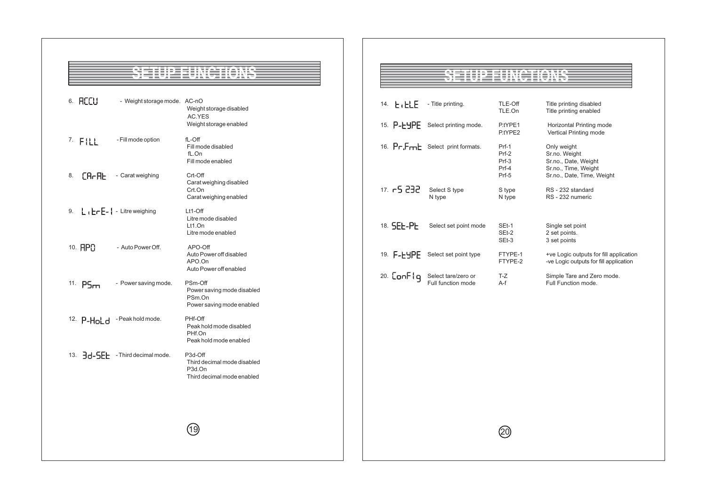# **SETUP FUNCTIONS**

| 6. REEU                        | - Weight storage mode. AC-nO                           | Weight storage disabled<br>AC.YES<br>Weight storage enabled                                 |
|--------------------------------|--------------------------------------------------------|---------------------------------------------------------------------------------------------|
| $7.$ FILL                      | - Fill mode option                                     | fL-Off<br>Fill mode disabled<br>fL.On<br>Fill mode enabled                                  |
| 8.                             | $[A - B]$ - Carat weighing                             | Crt-Off<br>Carat weighing disabled<br>Crt.On<br>Carat weighing enabled                      |
| 9. $L_1E-E-1$ - Litre weighing |                                                        | $Lt1$ -Off<br>Litre mode disabled<br>$Lt1.$ On<br>Litre mode enabled                        |
| 10. RPA                        | - Auto Power Off.                                      | APO-Off<br>Auto Power off disabled<br>APO.On<br>Auto Power off enabled                      |
| 11. $PSm$                      | - Power saving mode.                                   | PSm-Off<br>Power saving mode disabled<br>PSm.On<br>Power saving mode enabled                |
|                                | 12. P-Hold -Peak hold mode.                            | PHf-Off<br>Peak hold mode disabled<br>PHf.On<br>Peak hold mode enabled                      |
|                                | 13. $\frac{1}{2}d - \frac{1}{2}$ - Third decimal mode. | P3d-Off<br>Third decimal mode disabled<br>P <sub>3d</sub> .On<br>Third decimal mode enabled |
|                                |                                                        |                                                                                             |

19

## **SETUP FUNCTIONS**

| ERE<br>14.  | - Title printing.                         | TLE-Off<br>TLE.On                           | Title printing disabled<br>Title printing enabled                                                          |
|-------------|-------------------------------------------|---------------------------------------------|------------------------------------------------------------------------------------------------------------|
| 15. P-EHPE  | Select printing mode.                     | P.tYPE1<br>P.tYPE2                          | Horizontal Printing mode<br>Vertical Printing mode                                                         |
|             | 16. Pr.Frrick Select print formats.       | Prf-1<br>Prf-2<br>$Prf-3$<br>Prf-4<br>Prf-5 | Only weight<br>Sr.no. Weight<br>Sr.no., Date, Weight<br>Sr.no., Time, Weight<br>Sr.no., Date, Time, Weight |
| 17. FS 232. | Select S type<br>N type                   | S type<br>N type                            | RS - 232 standard<br>RS - 232 numeric                                                                      |
| 18. SEE-PE  | Select set point mode                     | SEt-1<br>SEt-2<br>$SEt-3$                   | Single set point<br>2 set points.<br>3 set points                                                          |
| 19. F-F4PF  | Select set point type                     | FTYPE-1<br>FTYPE-2                          | +ve Logic outputs for fill application<br>-ve Logic outputs for fill application                           |
| 20. ConFlq  | Select tare/zero or<br>Full function mode | T-Z<br>A-f                                  | Simple Tare and Zero mode.<br>Full Function mode.                                                          |

20